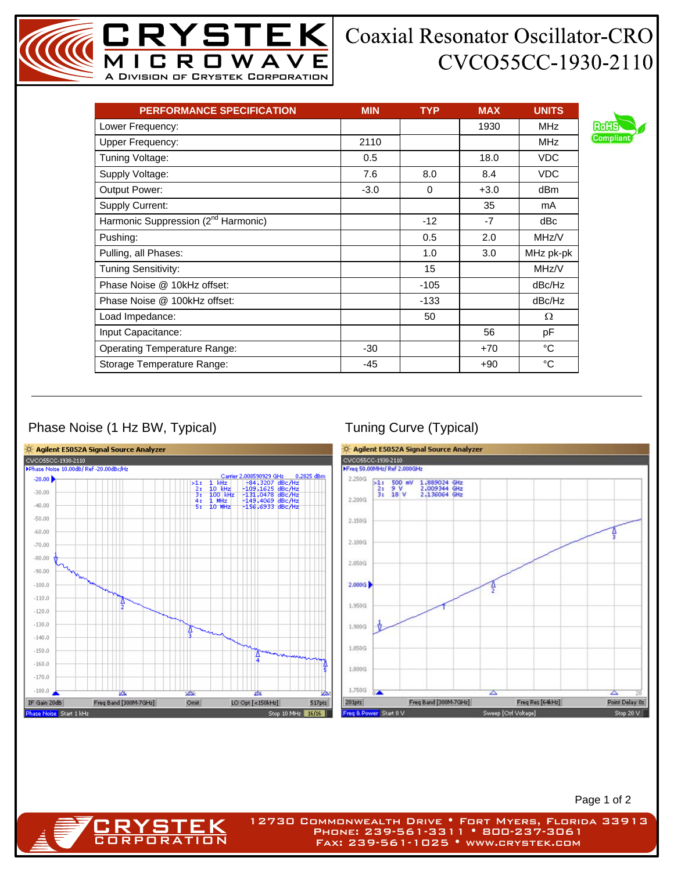## **Coaxial Resonator Oscillator-CRO** CVCO55CC-1930-2110

| <b>PERFORMANCE SPECIFICATION</b>                | <b>MIN</b> | <b>TYP</b> | <b>MAX</b> | <b>UNITS</b>    |
|-------------------------------------------------|------------|------------|------------|-----------------|
| Lower Frequency:                                |            |            | 1930       | <b>MHz</b>      |
| <b>Upper Frequency:</b>                         | 2110       |            |            | <b>MHz</b>      |
| Tuning Voltage:                                 | 0.5        |            | 18.0       | VDC             |
| Supply Voltage:                                 | 7.6        | 8.0        | 8.4        | <b>VDC</b>      |
| <b>Output Power:</b>                            | $-3.0$     | $\Omega$   | $+3.0$     | dB <sub>m</sub> |
| <b>Supply Current:</b>                          |            |            | 35         | mA.             |
| Harmonic Suppression (2 <sup>nd</sup> Harmonic) |            | $-12$      | $-7$       | dBc             |
| Pushing:                                        |            | 0.5        | 2.0        | MHz/V           |
| Pulling, all Phases:                            |            | 1.0        | 3.0        | MHz pk-pk       |
| Tuning Sensitivity:                             |            | 15         |            | MHz/V           |
| Phase Noise @ 10kHz offset:                     |            | $-105$     |            | dBc/Hz          |
| Phase Noise @ 100kHz offset:                    |            | $-133$     |            | dBc/Hz          |
| Load Impedance:                                 |            | 50         |            | Ω               |
| Input Capacitance:                              |            |            | 56         | рF              |
| <b>Operating Temperature Range:</b>             | $-30$      |            | $+70$      | °C              |
| Storage Temperature Range:                      | -45        |            | +90        | $^{\circ}C$     |

MICROWAVE A Division of Crystek Corporation

**STEK** 

## Phase Noise (1 Hz BW, Typical) Tuning Curve (Typical)

**CRYSTEK** 



Page 1 of 2

12730 Commonwealth Drive • Fort Myers, Florida 33913 Phone: 239-561-3311 • 800-237-3061 Fax: 239-561-1025 • www.crystek.com